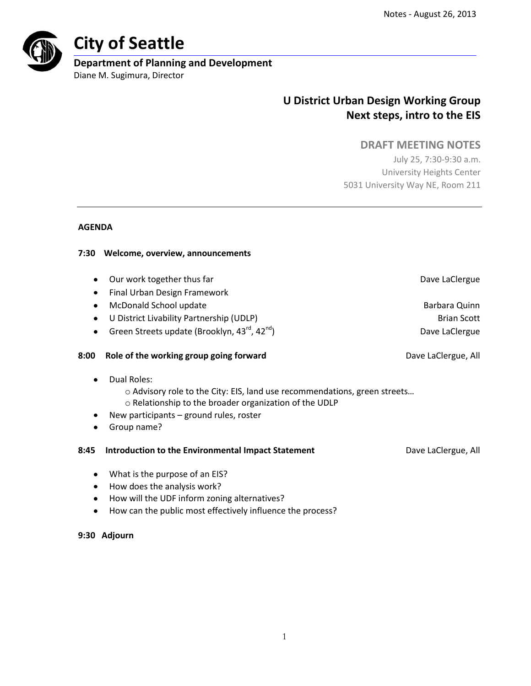

# **City of Seattle**

# **Department of Planning and Development**

Diane M. Sugimura, Director

# **U District Urban Design Working Group Next steps, intro to the EIS**

# **DRAFT MEETING NOTES**

July 25, 7:30-9:30 a.m. University Heights Center 5031 University Way NE, Room 211

### **AGENDA**

### **7:30 Welcome, overview, announcements**

- Our work together thus far **Dave Lacket and Taylor Controller and Dave Lacket and Dave LaClergue**
- **•** Final Urban Design Framework
- **•** McDonald School update **Barbara Quinn Barbara Quinn**
- U District Livability Partnership (UDLP) Brian Scott Brian Scott
- Green Streets update (Brooklyn,  $43^{\text{rd}}$ ,  $42^{\text{nd}}$ ) Dave LaClergue

### **8:00 Role of the working group going forward** Dave LaClergue, All

- $\bullet$ Dual Roles:
	- o Advisory role to the City: EIS, land use recommendations, green streets…
	- o Relationship to the broader organization of the UDLP
- New participants ground rules, roster
- Group name?  $\bullet$

### **8:45 Introduction to the Environmental Impact Statement** Dave LaClergue, All

- What is the purpose of an EIS?
- How does the analysis work?
- How will the UDF inform zoning alternatives?
- How can the public most effectively influence the process?

### **9:30 Adjourn**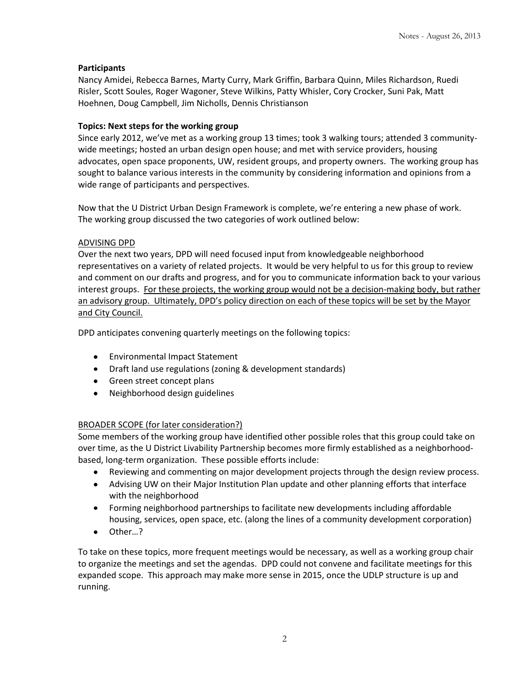### **Participants**

Nancy Amidei, Rebecca Barnes, Marty Curry, Mark Griffin, Barbara Quinn, Miles Richardson, Ruedi Risler, Scott Soules, Roger Wagoner, Steve Wilkins, Patty Whisler, Cory Crocker, Suni Pak, Matt Hoehnen, Doug Campbell, Jim Nicholls, Dennis Christianson

#### **Topics: Next steps for the working group**

Since early 2012, we've met as a working group 13 times; took 3 walking tours; attended 3 communitywide meetings; hosted an urban design open house; and met with service providers, housing advocates, open space proponents, UW, resident groups, and property owners. The working group has sought to balance various interests in the community by considering information and opinions from a wide range of participants and perspectives.

Now that the U District Urban Design Framework is complete, we're entering a new phase of work. The working group discussed the two categories of work outlined below:

#### ADVISING DPD

Over the next two years, DPD will need focused input from knowledgeable neighborhood representatives on a variety of related projects. It would be very helpful to us for this group to review and comment on our drafts and progress, and for you to communicate information back to your various interest groups. For these projects, the working group would not be a decision-making body, but rather an advisory group. Ultimately, DPD's policy direction on each of these topics will be set by the Mayor and City Council.

DPD anticipates convening quarterly meetings on the following topics:

- Environmental Impact Statement
- Draft land use regulations (zoning & development standards)
- Green street concept plans
- Neighborhood design guidelines

### BROADER SCOPE (for later consideration?)

Some members of the working group have identified other possible roles that this group could take on over time, as the U District Livability Partnership becomes more firmly established as a neighborhoodbased, long-term organization. These possible efforts include:

- Reviewing and commenting on major development projects through the design review process.
- Advising UW on their Major Institution Plan update and other planning efforts that interface with the neighborhood
- Forming neighborhood partnerships to facilitate new developments including affordable housing, services, open space, etc. (along the lines of a community development corporation)
- Other…?

To take on these topics, more frequent meetings would be necessary, as well as a working group chair to organize the meetings and set the agendas. DPD could not convene and facilitate meetings for this expanded scope. This approach may make more sense in 2015, once the UDLP structure is up and running.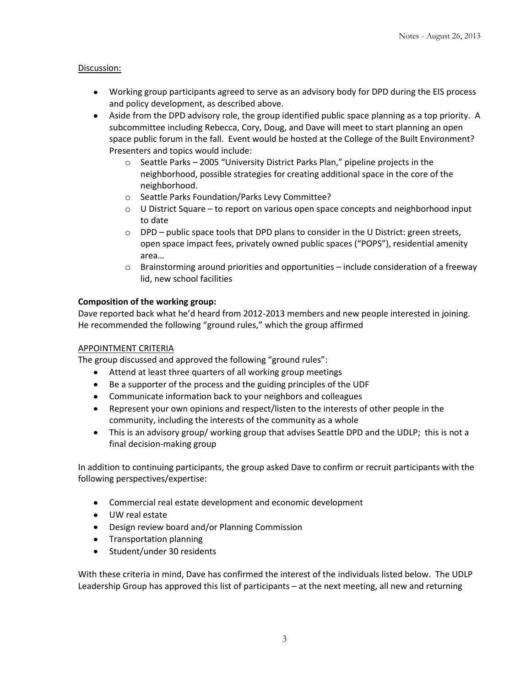#### Discussion:

- Working group participants agreed to serve as an advisory body for DPD during the EIS process and policy development, as described above.
- Aside from the DPD advisory role, the group identified public space planning as a top priority. A subcommittee including Rebecca, Cory, Doug, and Dave will meet to start planning an open space public forum in the fall. Event would be hosted at the College of the Built Environment? Presenters and topics would include:
	- $\circ$  Seattle Parks 2005 "University District Parks Plan," pipeline projects in the neighborhood, possible strategies for creating additional space in the core of the neighborhood.
	- o Seattle Parks Foundation/Parks Levy Committee?
	- o U District Square to report on various open space concepts and neighborhood input to date
	- $\circ$  DPD public space tools that DPD plans to consider in the U District: green streets, open space impact fees, privately owned public spaces ("POPS"), residential amenity area…
	- $\circ$  Brainstorming around priorities and opportunities include consideration of a freeway lid, new school facilities

#### **Composition of the working group:**

Dave reported back what he'd heard from 2012-2013 members and new people interested in joining. He recommended the following "ground rules," which the group affirmed

#### APPOINTMENT CRITERIA

The group discussed and approved the following "ground rules":

- Attend at least three quarters of all working group meetings
- Be a supporter of the process and the guiding principles of the UDF
- Communicate information back to your neighbors and colleagues
- Represent your own opinions and respect/listen to the interests of other people in the community, including the interests of the community as a whole
- This is an advisory group/ working group that advises Seattle DPD and the UDLP; this is not a final decision-making group

In addition to continuing participants, the group asked Dave to confirm or recruit participants with the following perspectives/expertise:

- Commercial real estate development and economic development
- UW real estate
- Design review board and/or Planning Commission
- Transportation planning
- $\bullet$ Student/under 30 residents

With these criteria in mind, Dave has confirmed the interest of the individuals listed below. The UDLP Leadership Group has approved this list of participants – at the next meeting, all new and returning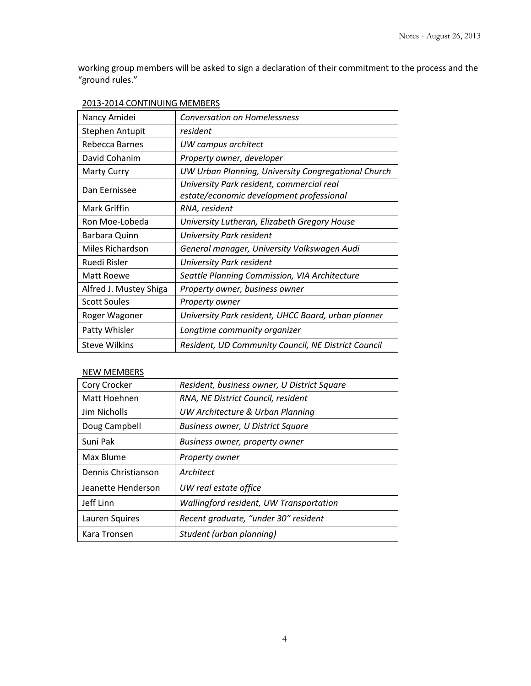working group members will be asked to sign a declaration of their commitment to the process and the "ground rules."

| Nancy Amidei           | <b>Conversation on Homelessness</b>                                                   |
|------------------------|---------------------------------------------------------------------------------------|
| Stephen Antupit        | resident                                                                              |
| Rebecca Barnes         | UW campus architect                                                                   |
| David Cohanim          | Property owner, developer                                                             |
| <b>Marty Curry</b>     | UW Urban Planning, University Congregational Church                                   |
| Dan Eernissee          | University Park resident, commercial real<br>estate/economic development professional |
| Mark Griffin           | RNA, resident                                                                         |
| Ron Moe-Lobeda         | University Lutheran, Elizabeth Gregory House                                          |
| Barbara Quinn          | University Park resident                                                              |
| Miles Richardson       | General manager, University Volkswagen Audi                                           |
| Ruedi Risler           | University Park resident                                                              |
| Matt Roewe             | Seattle Planning Commission, VIA Architecture                                         |
| Alfred J. Mustey Shiga | Property owner, business owner                                                        |
| <b>Scott Soules</b>    | Property owner                                                                        |
| Roger Wagoner          | University Park resident, UHCC Board, urban planner                                   |
| Patty Whisler          | Longtime community organizer                                                          |
| <b>Steve Wilkins</b>   | Resident, UD Community Council, NE District Council                                   |

## NEW MEMBERS

| Cory Crocker        | Resident, business owner, U District Square |
|---------------------|---------------------------------------------|
| Matt Hoehnen        | RNA, NE District Council, resident          |
| <b>Jim Nicholls</b> | UW Architecture & Urban Planning            |
| Doug Campbell       | <b>Business owner, U District Square</b>    |
| Suni Pak            | Business owner, property owner              |
| Max Blume           | Property owner                              |
| Dennis Christianson | Architect                                   |
| Jeanette Henderson  | UW real estate office                       |
| Jeff Linn           | Wallingford resident, UW Transportation     |
| Lauren Squires      | Recent graduate, "under 30" resident        |
| Kara Tronsen        | Student (urban planning)                    |